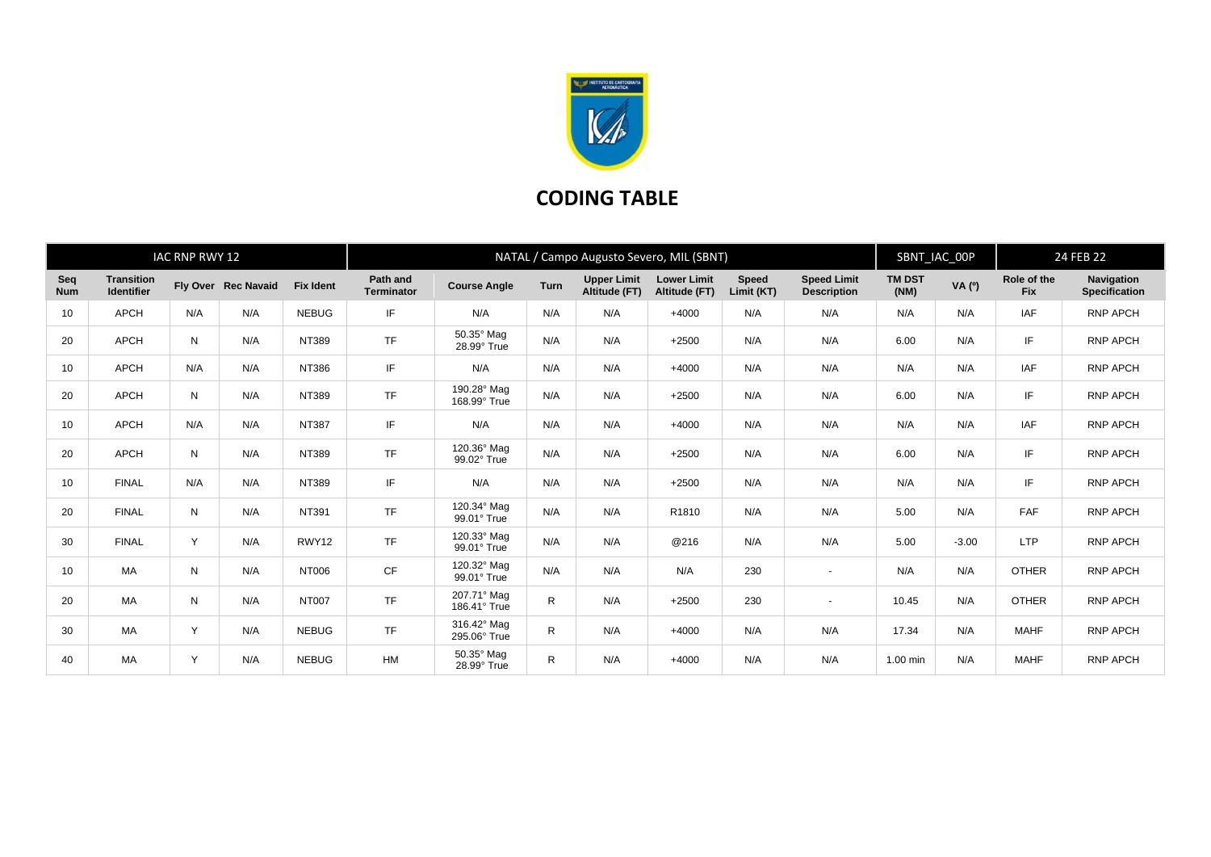

## **CODING TABLE**

| IAC RNP RWY 12    |                                        |     |                     | NATAL / Campo Augusto Severo, MIL (SBNT) |                        |                             |      |                                     |                                     |                            | SBNT_IAC_00P                             |                       | 24 FEB 22 |                           |                                           |
|-------------------|----------------------------------------|-----|---------------------|------------------------------------------|------------------------|-----------------------------|------|-------------------------------------|-------------------------------------|----------------------------|------------------------------------------|-----------------------|-----------|---------------------------|-------------------------------------------|
| Seq<br><b>Num</b> | <b>Transition</b><br><b>Identifier</b> |     | Fly Over Rec Navaid | <b>Fix Ident</b>                         | Path and<br>Terminator | <b>Course Angle</b>         | Turn | <b>Upper Limit</b><br>Altitude (FT) | <b>Lower Limit</b><br>Altitude (FT) | <b>Speed</b><br>Limit (KT) | <b>Speed Limit</b><br><b>Description</b> | <b>TM DST</b><br>(NM) | VA (°)    | Role of the<br><b>Fix</b> | <b>Navigation</b><br><b>Specification</b> |
| 10                | <b>APCH</b>                            | N/A | N/A                 | <b>NEBUG</b>                             | IF.                    | N/A                         | N/A  | N/A                                 | $+4000$                             | N/A                        | N/A                                      | N/A                   | N/A       | IAF                       | RNP APCH                                  |
| 20                | <b>APCH</b>                            | N   | N/A                 | NT389                                    | <b>TF</b>              | 50.35° Mag<br>28.99° True   | N/A  | N/A                                 | $+2500$                             | N/A                        | N/A                                      | 6.00                  | N/A       | IF                        | <b>RNP APCH</b>                           |
| 10                | <b>APCH</b>                            | N/A | N/A                 | <b>NT386</b>                             | IF.                    | N/A                         | N/A  | N/A                                 | $+4000$                             | N/A                        | N/A                                      | N/A                   | N/A       | IAF                       | RNP APCH                                  |
| 20                | <b>APCH</b>                            | N   | N/A                 | NT389                                    | TF                     | 190.28° Mag<br>168.99° True | N/A  | N/A                                 | $+2500$                             | N/A                        | N/A                                      | 6.00                  | N/A       | IF                        | <b>RNP APCH</b>                           |
| 10                | <b>APCH</b>                            | N/A | N/A                 | <b>NT387</b>                             | IF.                    | N/A                         | N/A  | N/A                                 | $+4000$                             | N/A                        | N/A                                      | N/A                   | N/A       | IAF                       | <b>RNP APCH</b>                           |
| 20                | <b>APCH</b>                            | N   | N/A                 | NT389                                    | TF                     | 120.36° Mag<br>99.02° True  | N/A  | N/A                                 | $+2500$                             | N/A                        | N/A                                      | 6.00                  | N/A       | IF                        | <b>RNP APCH</b>                           |
| 10                | <b>FINAL</b>                           | N/A | N/A                 | NT389                                    | IF.                    | N/A                         | N/A  | N/A                                 | $+2500$                             | N/A                        | N/A                                      | N/A                   | N/A       | IF                        | <b>RNP APCH</b>                           |
| 20                | <b>FINAL</b>                           | N   | N/A                 | NT391                                    | <b>TF</b>              | 120.34° Mag<br>99.01° True  | N/A  | N/A                                 | R1810                               | N/A                        | N/A                                      | 5.00                  | N/A       | FAF                       | <b>RNP APCH</b>                           |
| 30                | <b>FINAL</b>                           | Y   | N/A                 | RWY12                                    | <b>TF</b>              | 120.33° Mag<br>99.01° True  | N/A  | N/A                                 | @216                                | N/A                        | N/A                                      | 5.00                  | $-3.00$   | <b>LTP</b>                | <b>RNP APCH</b>                           |
| 10                | <b>MA</b>                              | N   | N/A                 | NT006                                    | <b>CF</b>              | 120.32° Mag<br>99.01° True  | N/A  | N/A                                 | N/A                                 | 230                        | $\sim$                                   | N/A                   | N/A       | <b>OTHER</b>              | <b>RNP APCH</b>                           |
| 20                | <b>MA</b>                              | N   | N/A                 | <b>NT007</b>                             | <b>TF</b>              | 207.71° Mag<br>186.41° True | R    | N/A                                 | $+2500$                             | 230                        | $\sim$                                   | 10.45                 | N/A       | <b>OTHER</b>              | <b>RNP APCH</b>                           |
| 30                | MA                                     | Y   | N/A                 | <b>NEBUG</b>                             | <b>TF</b>              | 316.42° Mag<br>295.06° True | R    | N/A                                 | $+4000$                             | N/A                        | N/A                                      | 17.34                 | N/A       | <b>MAHF</b>               | <b>RNP APCH</b>                           |
| 40                | <b>MA</b>                              | Y   | N/A                 | <b>NEBUG</b>                             | <b>HM</b>              | 50.35° Mag<br>28.99° True   | R.   | N/A                                 | $+4000$                             | N/A                        | N/A                                      | $1.00$ min            | N/A       | <b>MAHF</b>               | <b>RNP APCH</b>                           |